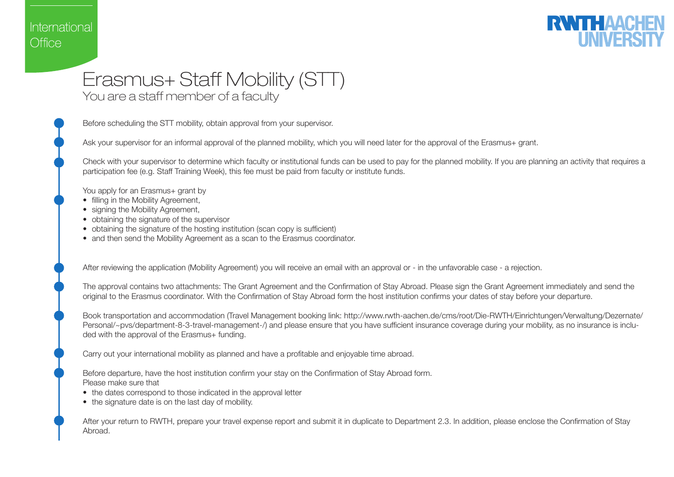## International Office



## Erasmus+ Staff Mobility (STT)

You are a staff member of a faculty

Before scheduling the STT mobility, obtain approval from your supervisor.

Ask your supervisor for an informal approval of the planned mobility, which you will need later for the approval of the Erasmus+ grant.

Check with your supervisor to determine which faculty or institutional funds can be used to pay for the planned mobility. If you are planning an activity that requires a participation fee (e.g. Staff Training Week), this fee must be paid from faculty or institute funds.

You apply for an Erasmus+ grant by

- filling in the Mobility Agreement,
- signing the Mobility Agreement,
- obtaining the signature of the supervisor
- obtaining the signature of the hosting institution (scan copy is sufficient)
- and then send the Mobility Agreement as a scan to the Erasmus coordinator.

After reviewing the application (Mobility Agreement) you will receive an email with an approval or - in the unfavorable case - a rejection.

The approval contains two attachments: The Grant Agreement and the Confirmation of Stay Abroad. Please sign the Grant Agreement immediately and send the original to the Erasmus coordinator. With the Confirmation of Stay Abroad form the host institution confirms your dates of stay before your departure.

Book transportation and accommodation (Travel Management booking link: http://www.rwth-aachen.de/cms/root/Die-RWTH/Einrichtungen/Verwaltung/Dezernate/ Personal/~pvs/department-8-3-travel-management-/) and please ensure that you have sufficient insurance coverage during your mobility, as no insurance is included with the approval of the Erasmus+ funding.

Carry out your international mobility as planned and have a profitable and enjoyable time abroad.

Before departure, have the host institution confirm your stay on the Confirmation of Stay Abroad form. Please make sure that

- the dates correspond to those indicated in the approval letter
- the signature date is on the last day of mobility.

After your return to RWTH, prepare your travel expense report and submit it in duplicate to Department 2.3. In addition, please enclose the Confirmation of Stay Abroad.